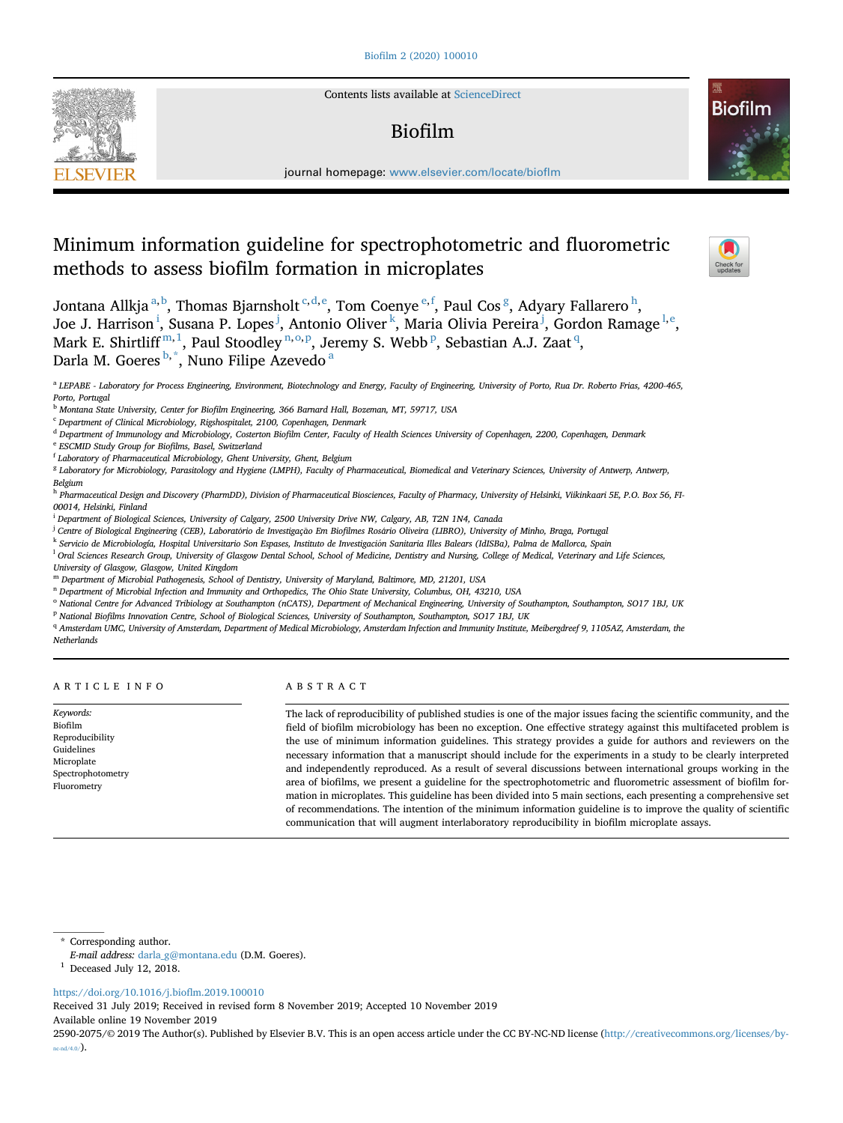

Contents lists available at [ScienceDirect](www.sciencedirect.com/science/journal/25902075)

# Biofilm



journal homepage: <www.elsevier.com/locate/bioflm>

# Minimum information guideline for spectrophotometric and fluorometric methods to assess biofilm formation in microplates



Jontana Allkja $a,b$ , Thomas Bjarnsholt  $^{c,d,e}$ , Tom Coenye  $^{e,f}$ , Paul Cos  $^g$ , Adyary Fallarero  $^h$ , Joe J. Harrison<sup>i</sup>, Susana P. Lopes<sup>j</sup>, Antonio Oliver<sup>k</sup>, Maria Olivia Pereira<sup>j</sup>, Gordon Ramage<sup>l,e</sup>, Mark E. Shirtliff $^{\rm m,1}$ , Paul Stoodley $^{\rm n, o, p}$ , Jeremy S. Webb $^{\rm p}$ , Sebastian A.J. Zaat $^{\rm q}$ , Darla M. Goeres <sup>b, \*</sup>, Nuno Filipe Azevedo <sup>a</sup>

<sup>a</sup> LEPABE - Laboratory for Process Engineering, Environment, Biotechnology and Energy, Faculty of Engineering, University of Porto, Rua Dr. Roberto Frias, 4200-465, Porto, Portugal

<sup>b</sup> Montana State University, Center for Biofilm Engineering, 366 Barnard Hall, Bozeman, MT, 59717, USA

 $c$  Department of Clinical Microbiology, Rigshospitalet, 2100, Copenhagen, Denmark

<sup>d</sup> Department of Immunology and Microbiology, Costerton Biofilm Center, Faculty of Health Sciences University of Copenhagen, 2200, Copenhagen, Denmark <sup>e</sup> ESCMID Study Group for Biofilms, Basel, Switzerland

<sup>f</sup> Laboratory of Pharmaceutical Microbiology, Ghent University, Ghent, Belgium

<sup>g</sup> Laboratory for Microbiology, Parasitology and Hygiene (LMPH), Faculty of Pharmaceutical, Biomedical and Veterinary Sciences, University of Antwerp, Antwerp, Belgium

h Pharmaceutical Design and Discovery (PharmDD), Division of Pharmaceutical Biosciences, Faculty of Pharmacy, University of Helsinki, Viikinkaari 5E, P.O. Box 56, FI-00014, Helsinki, Finland

<sup>i</sup> Department of Biological Sciences, University of Calgary, 2500 University Drive NW, Calgary, AB, T2N 1N4, Canada

<sup>j</sup> Centre of Biological Engineering (CEB), Laboratório de Investigação Em Biofilmes Rosário Oliveira (LIBRO), University of Minho, Braga, Portugal

k Servicio de Microbiología, Hospital Universitario Son Espases, Instituto de Investigación Sanitaria Illes Balears (IdISBa), Palma de Mallorca, Spain

 $^1$  Oral Sciences Research Group, University of Glasgow Dental School, School of Medicine, Dentistry and Nursing, College of Medical, Veterinary and Life Sciences,

University of Glasgow, Glasgow, United Kingdom

<sup>m</sup> Department of Microbial Pathogenesis, School of Dentistry, University of Maryland, Baltimore, MD, 21201, USA

n Department of Microbial Infection and Immunity and Orthopedics, The Ohio State University, Columbus, OH, 43210, USA

<sup>o</sup> National Centre for Advanced Tribiology at Southampton (nCATS), Department of Mechanical Engineering, University of Southampton, Southampton, SO17 1BJ, UK

P National Biofilms Innovation Centre, School of Biological Sciences, University of Southampton, Southampton, SO17 1BJ, UK

q Amsterdam UMC, University of Amsterdam, Department of Medical Microbiology, Amsterdam Infection and Immunity Institute, Meibergdreef 9, 1105AZ, Amsterdam, the Netherlands

|  | ARTICLE INFO |  |  |  |  |  |  |  |  |  |
|--|--------------|--|--|--|--|--|--|--|--|--|
|--|--------------|--|--|--|--|--|--|--|--|--|

Keywords: Biofilm Reproducibility Guidelines Microplate Spectrophotometry Fluorometry

ABSTRACT

The lack of reproducibility of published studies is one of the major issues facing the scientific community, and the field of biofilm microbiology has been no exception. One effective strategy against this multifaceted problem is the use of minimum information guidelines. This strategy provides a guide for authors and reviewers on the necessary information that a manuscript should include for the experiments in a study to be clearly interpreted and independently reproduced. As a result of several discussions between international groups working in the area of biofilms, we present a guideline for the spectrophotometric and fluorometric assessment of biofilm formation in microplates. This guideline has been divided into 5 main sections, each presenting a comprehensive set of recommendations. The intention of the minimum information guideline is to improve the quality of scientific communication that will augment interlaboratory reproducibility in biofilm microplate assays.

\* Corresponding author.

 $1$  Deceased July 12, 2018.

# [https://doi.org/10.1016/j.bio](https://doi.org/10.1016/j.bioflm.2019.100010)flm.2019.100010

Received 31 July 2019; Received in revised form 8 November 2019; Accepted 10 November 2019 Available online 19 November 2019

2590-2075/© 2019 The Author(s). Published by Elsevier B.V. This is an open access article under the CC BY-NC-ND license [\(http://creativecommons.org/licenses/by](http://creativecommons.org/licenses/by-nc-nd/4.0/) $nc-nd/4.0/$ ).

E-mail address: [darla\\_g@montana.edu](mailto:darla_g@montana.edu) (D.M. Goeres).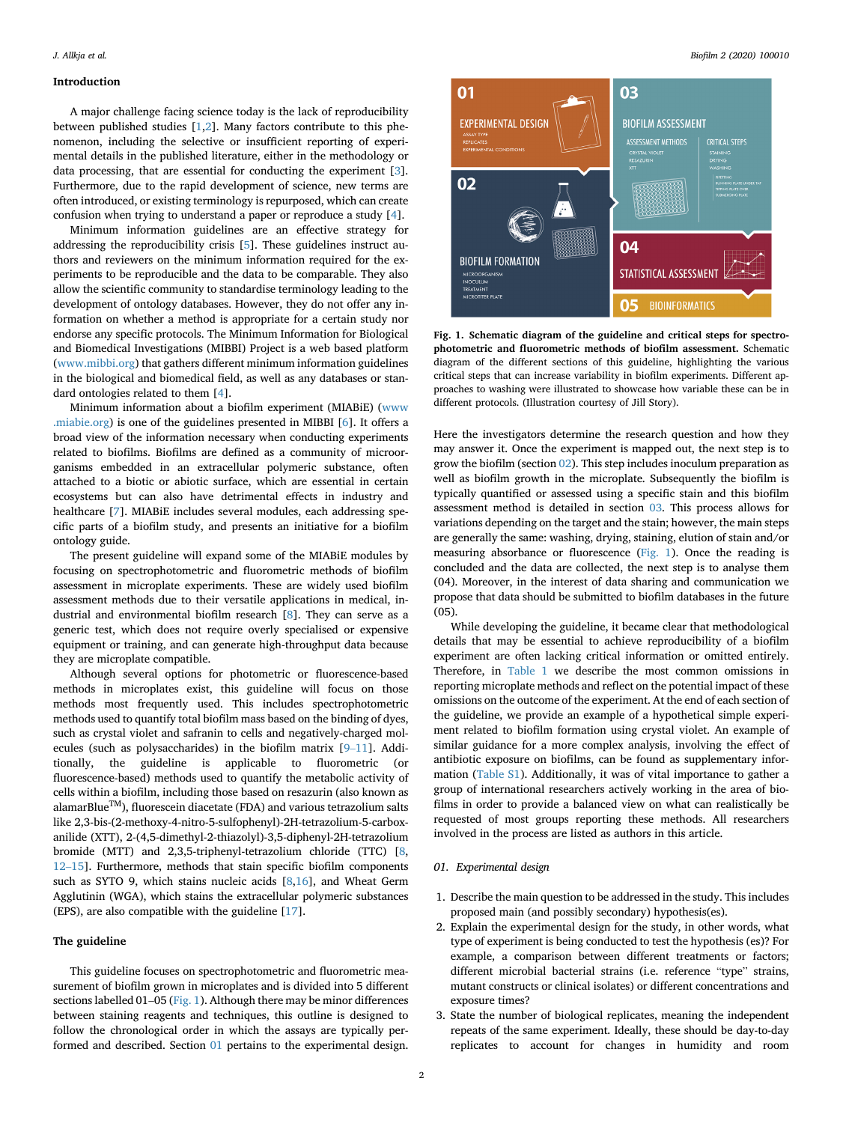# <span id="page-1-0"></span>Introduction

A major challenge facing science today is the lack of reproducibility between published studies [\[1,2](#page-6-0)]. Many factors contribute to this phenomenon, including the selective or insufficient reporting of experimental details in the published literature, either in the methodology or data processing, that are essential for conducting the experiment [[3](#page-6-0)]. Furthermore, due to the rapid development of science, new terms are often introduced, or existing terminology is repurposed, which can create confusion when trying to understand a paper or reproduce a study [\[4\]](#page-6-0).

Minimum information guidelines are an effective strategy for addressing the reproducibility crisis [\[5\]](#page-6-0). These guidelines instruct authors and reviewers on the minimum information required for the experiments to be reproducible and the data to be comparable. They also allow the scientific community to standardise terminology leading to the development of ontology databases. However, they do not offer any information on whether a method is appropriate for a certain study nor endorse any specific protocols. The Minimum Information for Biological and Biomedical Investigations (MIBBI) Project is a web based platform ([www.mibbi.org](http://www.mibbi.org)) that gathers different minimum information guidelines in the biological and biomedical field, as well as any databases or standard ontologies related to them [[4](#page-6-0)].

Minimum information about a biofilm experiment (MIABiE) [\(www](http://www.miabie.org) [.miabie.org](http://www.miabie.org)) is one of the guidelines presented in MIBBI [[6](#page-6-0)]. It offers a broad view of the information necessary when conducting experiments related to biofilms. Biofilms are defined as a community of microorganisms embedded in an extracellular polymeric substance, often attached to a biotic or abiotic surface, which are essential in certain ecosystems but can also have detrimental effects in industry and healthcare [\[7\]](#page-6-0). MIABiE includes several modules, each addressing specific parts of a biofilm study, and presents an initiative for a biofilm ontology guide.

The present guideline will expand some of the MIABiE modules by focusing on spectrophotometric and fluorometric methods of biofilm assessment in microplate experiments. These are widely used biofilm assessment methods due to their versatile applications in medical, industrial and environmental biofilm research [[8](#page-6-0)]. They can serve as a generic test, which does not require overly specialised or expensive equipment or training, and can generate high-throughput data because they are microplate compatible.

Although several options for photometric or fluorescence-based methods in microplates exist, this guideline will focus on those methods most frequently used. This includes spectrophotometric methods used to quantify total biofilm mass based on the binding of dyes, such as crystal violet and safranin to cells and negatively-charged molecules (such as polysaccharides) in the biofilm matrix [[9](#page-6-0)–[11](#page-6-0)]. Additionally, the guideline is applicable to fluorometric (or fluorescence-based) methods used to quantify the metabolic activity of cells within a biofilm, including those based on resazurin (also known as  $alamarBlue<sup>TM</sup>$ , fluorescein diacetate (FDA) and various tetrazolium salts like 2,3-bis-(2-methoxy-4-nitro-5-sulfophenyl)-2H-tetrazolium-5-carboxanilide (XTT), 2-(4,5-dimethyl-2-thiazolyl)-3,5-diphenyl-2H-tetrazolium bromide (MTT) and 2,3,5-triphenyl-tetrazolium chloride (TTC) [\[8,](#page-6-0) [12](#page-6-0)–[15](#page-6-0)]. Furthermore, methods that stain specific biofilm components such as SYTO 9, which stains nucleic acids [\[8,16\]](#page-6-0), and Wheat Germ Agglutinin (WGA), which stains the extracellular polymeric substances (EPS), are also compatible with the guideline [[17\]](#page-6-0).

## The guideline

This guideline focuses on spectrophotometric and fluorometric measurement of biofilm grown in microplates and is divided into 5 different sections labelled 01-05 (Fig. 1). Although there may be minor differences between staining reagents and techniques, this outline is designed to follow the chronological order in which the assays are typically performed and described. Section 01 pertains to the experimental design.



Fig. 1. Schematic diagram of the guideline and critical steps for spectrophotometric and fluorometric methods of biofilm assessment. Schematic diagram of the different sections of this guideline, highlighting the various critical steps that can increase variability in biofilm experiments. Different approaches to washing were illustrated to showcase how variable these can be in different protocols. (Illustration courtesy of Jill Story).

Here the investigators determine the research question and how they may answer it. Once the experiment is mapped out, the next step is to grow the biofilm (section [02\)](#page-2-0). This step includes inoculum preparation as well as biofilm growth in the microplate. Subsequently the biofilm is typically quantified or assessed using a specific stain and this biofilm assessment method is detailed in section [03.](#page-3-0) This process allows for variations depending on the target and the stain; however, the main steps are generally the same: washing, drying, staining, elution of stain and/or measuring absorbance or fluorescence (Fig. 1). Once the reading is concluded and the data are collected, the next step is to analyse them (04). Moreover, in the interest of data sharing and communication we propose that data should be submitted to biofilm databases in the future (05).

While developing the guideline, it became clear that methodological details that may be essential to achieve reproducibility of a biofilm experiment are often lacking critical information or omitted entirely. Therefore, in [Table 1](#page-2-0) we describe the most common omissions in reporting microplate methods and reflect on the potential impact of these omissions on the outcome of the experiment. At the end of each section of the guideline, we provide an example of a hypothetical simple experiment related to biofilm formation using crystal violet. An example of similar guidance for a more complex analysis, involving the effect of antibiotic exposure on biofilms, can be found as supplementary information (Table S1). Additionally, it was of vital importance to gather a group of international researchers actively working in the area of biofilms in order to provide a balanced view on what can realistically be requested of most groups reporting these methods. All researchers involved in the process are listed as authors in this article.

# 01. Experimental design

- 1. Describe the main question to be addressed in the study. This includes proposed main (and possibly secondary) hypothesis(es).
- 2. Explain the experimental design for the study, in other words, what type of experiment is being conducted to test the hypothesis (es)? For example, a comparison between different treatments or factors; different microbial bacterial strains (i.e. reference "type" strains, mutant constructs or clinical isolates) or different concentrations and exposure times?
- 3. State the number of biological replicates, meaning the independent repeats of the same experiment. Ideally, these should be day-to-day replicates to account for changes in humidity and room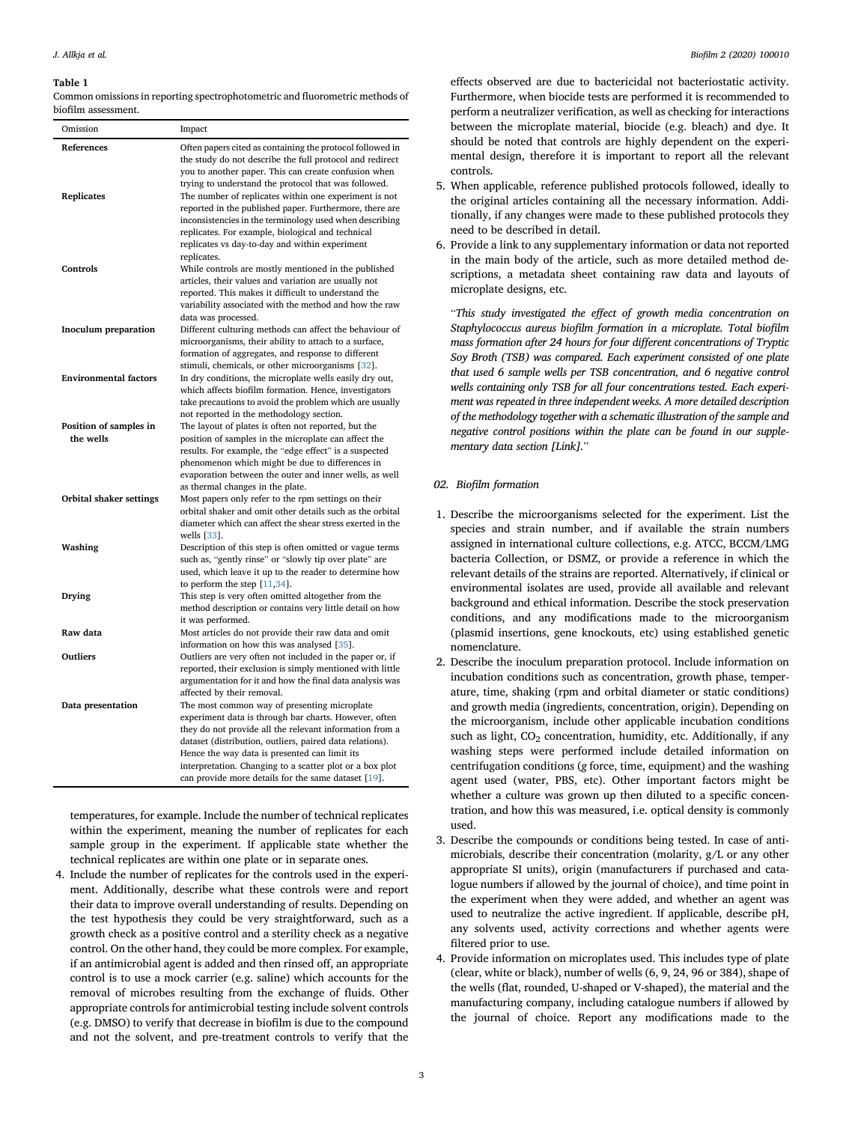## <span id="page-2-0"></span>Table 1

Common omissions in reporting spectrophotometric and fluorometric methods of biofilm assessment.

| Omission                     | Impact                                                                                                                                                                                                                                                                                                                                                                                                       |
|------------------------------|--------------------------------------------------------------------------------------------------------------------------------------------------------------------------------------------------------------------------------------------------------------------------------------------------------------------------------------------------------------------------------------------------------------|
| References                   | Often papers cited as containing the protocol followed in                                                                                                                                                                                                                                                                                                                                                    |
| <b>Replicates</b>            | the study do not describe the full protocol and redirect<br>you to another paper. This can create confusion when<br>trying to understand the protocol that was followed.<br>The number of replicates within one experiment is not<br>reported in the published paper. Furthermore, there are<br>inconsistencies in the terminology used when describing<br>replicates. For example, biological and technical |
| Controls                     | replicates vs day-to-day and within experiment<br>replicates.<br>While controls are mostly mentioned in the published<br>articles, their values and variation are usually not<br>reported. This makes it difficult to understand the<br>variability associated with the method and how the raw<br>data was processed.                                                                                        |
| <b>Inoculum</b> preparation  | Different culturing methods can affect the behaviour of<br>microorganisms, their ability to attach to a surface,                                                                                                                                                                                                                                                                                             |
| <b>Environmental factors</b> | formation of aggregates, and response to different<br>stimuli, chemicals, or other microorganisms [32].<br>In dry conditions, the microplate wells easily dry out,<br>which affects biofilm formation. Hence, investigators<br>take precautions to avoid the problem which are usually<br>not reported in the methodology section.                                                                           |
| Position of samples in       | The layout of plates is often not reported, but the                                                                                                                                                                                                                                                                                                                                                          |
| the wells                    | position of samples in the microplate can affect the                                                                                                                                                                                                                                                                                                                                                         |
| Orbital shaker settings      | results. For example, the "edge effect" is a suspected<br>phenomenon which might be due to differences in<br>evaporation between the outer and inner wells, as well<br>as thermal changes in the plate.<br>Most papers only refer to the rpm settings on their<br>orbital shaker and omit other details such as the orbital<br>diameter which can affect the shear stress exerted in the                     |
| Washing                      | wells [33].<br>Description of this step is often omitted or vague terms<br>such as, "gently rinse" or "slowly tip over plate" are<br>used, which leave it up to the reader to determine how                                                                                                                                                                                                                  |
| Drying                       | to perform the step $[11,34]$ .<br>This step is very often omitted altogether from the<br>method description or contains very little detail on how<br>it was performed.                                                                                                                                                                                                                                      |
| Raw data                     | Most articles do not provide their raw data and omit<br>information on how this was analysed [35].                                                                                                                                                                                                                                                                                                           |
| Outliers                     | Outliers are very often not included in the paper or, if<br>reported, their exclusion is simply mentioned with little<br>argumentation for it and how the final data analysis was<br>affected by their removal.                                                                                                                                                                                              |
| Data presentation            | The most common way of presenting microplate<br>experiment data is through bar charts. However, often<br>they do not provide all the relevant information from a<br>dataset (distribution, outliers, paired data relations).<br>Hence the way data is presented can limit its<br>interpretation. Changing to a scatter plot or a box plot<br>can provide more details for the same dataset [19].             |

temperatures, for example. Include the number of technical replicates within the experiment, meaning the number of replicates for each sample group in the experiment. If applicable state whether the technical replicates are within one plate or in separate ones.

4. Include the number of replicates for the controls used in the experiment. Additionally, describe what these controls were and report their data to improve overall understanding of results. Depending on the test hypothesis they could be very straightforward, such as a growth check as a positive control and a sterility check as a negative control. On the other hand, they could be more complex. For example, if an antimicrobial agent is added and then rinsed off, an appropriate control is to use a mock carrier (e.g. saline) which accounts for the removal of microbes resulting from the exchange of fluids. Other appropriate controls for antimicrobial testing include solvent controls (e.g. DMSO) to verify that decrease in biofilm is due to the compound and not the solvent, and pre-treatment controls to verify that the

effects observed are due to bactericidal not bacteriostatic activity. Furthermore, when biocide tests are performed it is recommended to perform a neutralizer verification, as well as checking for interactions between the microplate material, biocide (e.g. bleach) and dye. It should be noted that controls are highly dependent on the experimental design, therefore it is important to report all the relevant controls.

- 5. When applicable, reference published protocols followed, ideally to the original articles containing all the necessary information. Additionally, if any changes were made to these published protocols they need to be described in detail.
- 6. Provide a link to any supplementary information or data not reported in the main body of the article, such as more detailed method descriptions, a metadata sheet containing raw data and layouts of microplate designs, etc.

"This study investigated the effect of growth media concentration on Staphylococcus aureus biofilm formation in a microplate. Total biofilm mass formation after 24 hours for four different concentrations of Tryptic Soy Broth (TSB) was compared. Each experiment consisted of one plate that used 6 sample wells per TSB concentration, and 6 negative control wells containing only TSB for all four concentrations tested. Each experiment was repeated in three independent weeks. A more detailed description of the methodology together with a schematic illustration of the sample and negative control positions within the plate can be found in our supplementary data section [Link]."

# 02. Biofilm formation

- 1. Describe the microorganisms selected for the experiment. List the species and strain number, and if available the strain numbers assigned in international culture collections, e.g. ATCC, BCCM/LMG bacteria Collection, or DSMZ, or provide a reference in which the relevant details of the strains are reported. Alternatively, if clinical or environmental isolates are used, provide all available and relevant background and ethical information. Describe the stock preservation conditions, and any modifications made to the microorganism (plasmid insertions, gene knockouts, etc) using established genetic nomenclature.
- 2. Describe the inoculum preparation protocol. Include information on incubation conditions such as concentration, growth phase, temperature, time, shaking (rpm and orbital diameter or static conditions) and growth media (ingredients, concentration, origin). Depending on the microorganism, include other applicable incubation conditions such as light,  $CO<sub>2</sub>$  concentration, humidity, etc. Additionally, if any washing steps were performed include detailed information on centrifugation conditions (g force, time, equipment) and the washing agent used (water, PBS, etc). Other important factors might be whether a culture was grown up then diluted to a specific concentration, and how this was measured, i.e. optical density is commonly used.
- 3. Describe the compounds or conditions being tested. In case of antimicrobials, describe their concentration (molarity, g/L or any other appropriate SI units), origin (manufacturers if purchased and catalogue numbers if allowed by the journal of choice), and time point in the experiment when they were added, and whether an agent was used to neutralize the active ingredient. If applicable, describe pH, any solvents used, activity corrections and whether agents were filtered prior to use.
- 4. Provide information on microplates used. This includes type of plate (clear, white or black), number of wells (6, 9, 24, 96 or 384), shape of the wells (flat, rounded, U-shaped or V-shaped), the material and the manufacturing company, including catalogue numbers if allowed by the journal of choice. Report any modifications made to the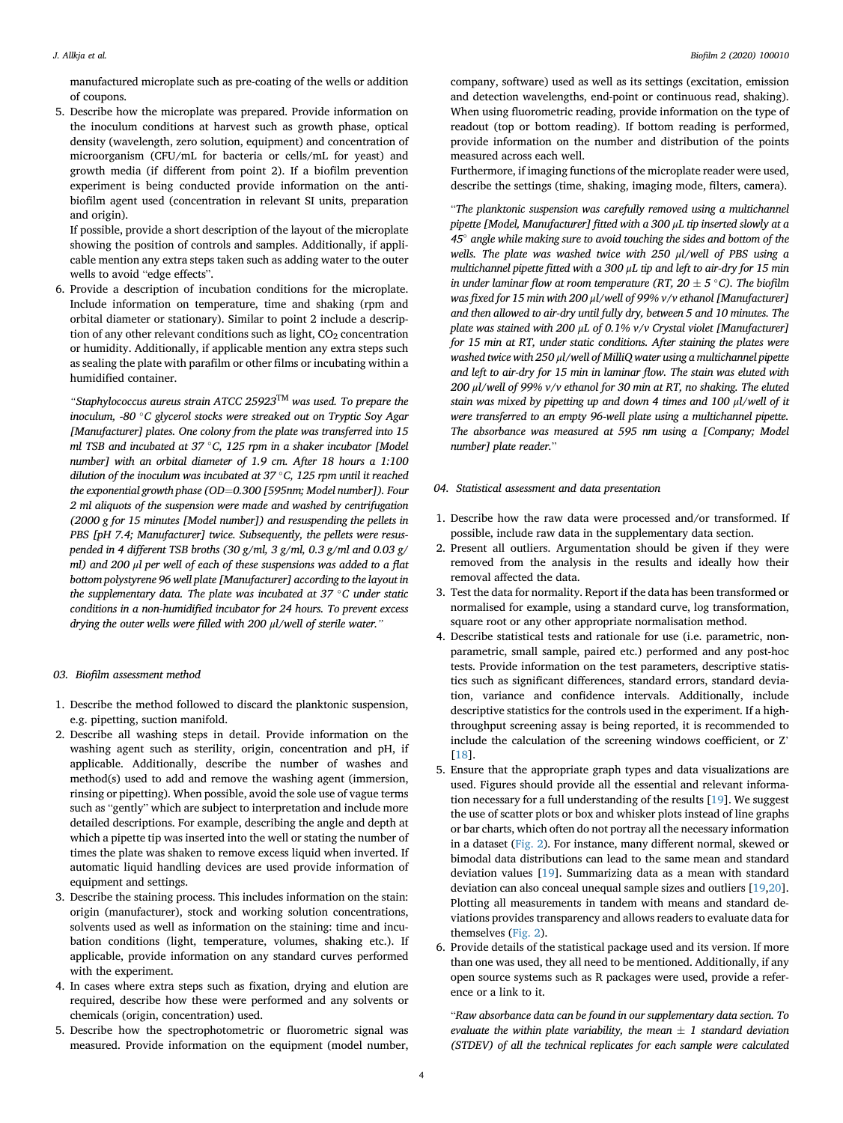<span id="page-3-0"></span>manufactured microplate such as pre-coating of the wells or addition of coupons.

5. Describe how the microplate was prepared. Provide information on the inoculum conditions at harvest such as growth phase, optical density (wavelength, zero solution, equipment) and concentration of microorganism (CFU/mL for bacteria or cells/mL for yeast) and growth media (if different from point 2). If a biofilm prevention experiment is being conducted provide information on the antibiofilm agent used (concentration in relevant SI units, preparation and origin).

If possible, provide a short description of the layout of the microplate showing the position of controls and samples. Additionally, if applicable mention any extra steps taken such as adding water to the outer wells to avoid "edge effects".

6. Provide a description of incubation conditions for the microplate. Include information on temperature, time and shaking (rpm and orbital diameter or stationary). Similar to point 2 include a description of any other relevant conditions such as light,  $CO<sub>2</sub>$  concentration or humidity. Additionally, if applicable mention any extra steps such as sealing the plate with parafilm or other films or incubating within a humidified container.

"Staphylococcus aureus strain ATCC 25923 $^{\text{\tiny{TM}}}$  was used. To prepare the inoculum, -80 $\degree$ C glycerol stocks were streaked out on Tryptic Soy Agar [Manufacturer] plates. One colony from the plate was transferred into 15 ml TSB and incubated at 37 °C, 125 rpm in a shaker incubator [Model] number] with an orbital diameter of 1.9 cm. After 18 hours a 1:100 dilution of the inoculum was incubated at  $37^{\circ}$ C, 125 rpm until it reached the exponential growth phase (OD=0.300 [595nm; Model number]). Four 2 ml aliquots of the suspension were made and washed by centrifugation (2000 g for 15 minutes [Model number]) and resuspending the pellets in PBS [pH 7.4; Manufacturer] twice. Subsequently, the pellets were resuspended in 4 different TSB broths (30 g/ml, 3 g/ml, 0.3 g/ml and 0.03 g/ ml) and 200 μl per well of each of these suspensions was added to a flat bottom polystyrene 96 well plate [Manufacturer] according to the layout in the supplementary data. The plate was incubated at  $37 °C$  under static conditions in a non-humidified incubator for 24 hours. To prevent excess drying the outer wells were filled with 200 <sup>μ</sup>l/well of sterile water."

# 03. Biofilm assessment method

- 1. Describe the method followed to discard the planktonic suspension, e.g. pipetting, suction manifold.
- 2. Describe all washing steps in detail. Provide information on the washing agent such as sterility, origin, concentration and pH, if applicable. Additionally, describe the number of washes and method(s) used to add and remove the washing agent (immersion, rinsing or pipetting). When possible, avoid the sole use of vague terms such as "gently" which are subject to interpretation and include more detailed descriptions. For example, describing the angle and depth at which a pipette tip was inserted into the well or stating the number of times the plate was shaken to remove excess liquid when inverted. If automatic liquid handling devices are used provide information of equipment and settings.
- 3. Describe the staining process. This includes information on the stain: origin (manufacturer), stock and working solution concentrations, solvents used as well as information on the staining: time and incubation conditions (light, temperature, volumes, shaking etc.). If applicable, provide information on any standard curves performed with the experiment.
- 4. In cases where extra steps such as fixation, drying and elution are required, describe how these were performed and any solvents or chemicals (origin, concentration) used.
- 5. Describe how the spectrophotometric or fluorometric signal was measured. Provide information on the equipment (model number,

company, software) used as well as its settings (excitation, emission and detection wavelengths, end-point or continuous read, shaking). When using fluorometric reading, provide information on the type of readout (top or bottom reading). If bottom reading is performed, provide information on the number and distribution of the points measured across each well.

Furthermore, if imaging functions of the microplate reader were used, describe the settings (time, shaking, imaging mode, filters, camera).

"The planktonic suspension was carefully removed using a multichannel pipette [Model, Manufacturer] fitted with a 300 μL tip inserted slowly at a  $45^\circ$  angle while making sure to avoid touching the sides and bottom of the wells. The plate was washed twice with 250  $\mu$ l/well of PBS using a multichannel pipette fitted with a 300 μL tip and left to air-dry for 15 min in under laminar flow at room temperature (RT,  $20 \pm 5$  °C). The biofilm was fixed for 15 min with 200 μl/well of 99% v/v ethanol [Manufacturer] and then allowed to air-dry until fully dry, between 5 and 10 minutes. The plate was stained with 200 μL of 0.1% v/v Crystal violet [Manufacturer] for 15 min at RT, under static conditions. After staining the plates were washed twice with 250 μl/well of MilliQ water using a multichannel pipette and left to air-dry for 15 min in laminar flow. The stain was eluted with 200 μl/well of 99% v/v ethanol for 30 min at RT, no shaking. The eluted stain was mixed by pipetting up and down 4 times and 100 μl/well of it were transferred to an empty 96-well plate using a multichannel pipette. The absorbance was measured at 595 nm using a [Company; Model number] plate reader."

#### 04. Statistical assessment and data presentation

- 1. Describe how the raw data were processed and/or transformed. If possible, include raw data in the supplementary data section.
- 2. Present all outliers. Argumentation should be given if they were removed from the analysis in the results and ideally how their removal affected the data.
- 3. Test the data for normality. Report if the data has been transformed or normalised for example, using a standard curve, log transformation, square root or any other appropriate normalisation method.
- 4. Describe statistical tests and rationale for use (i.e. parametric, nonparametric, small sample, paired etc.) performed and any post-hoc tests. Provide information on the test parameters, descriptive statistics such as significant differences, standard errors, standard deviation, variance and confidence intervals. Additionally, include descriptive statistics for the controls used in the experiment. If a highthroughput screening assay is being reported, it is recommended to include the calculation of the screening windows coefficient, or Z' [[18\]](#page-6-0).
- 5. Ensure that the appropriate graph types and data visualizations are used. Figures should provide all the essential and relevant information necessary for a full understanding of the results [[19\]](#page-6-0). We suggest the use of scatter plots or box and whisker plots instead of line graphs or bar charts, which often do not portray all the necessary information in a dataset [\(Fig. 2](#page-4-0)). For instance, many different normal, skewed or bimodal data distributions can lead to the same mean and standard deviation values [[19\]](#page-6-0). Summarizing data as a mean with standard deviation can also conceal unequal sample sizes and outliers [\[19,20](#page-6-0)]. Plotting all measurements in tandem with means and standard deviations provides transparency and allows readers to evaluate data for themselves [\(Fig. 2\)](#page-4-0).
- 6. Provide details of the statistical package used and its version. If more than one was used, they all need to be mentioned. Additionally, if any open source systems such as R packages were used, provide a reference or a link to it.

"Raw absorbance data can be found in our supplementary data section. To evaluate the within plate variability, the mean  $\pm$  1 standard deviation (STDEV) of all the technical replicates for each sample were calculated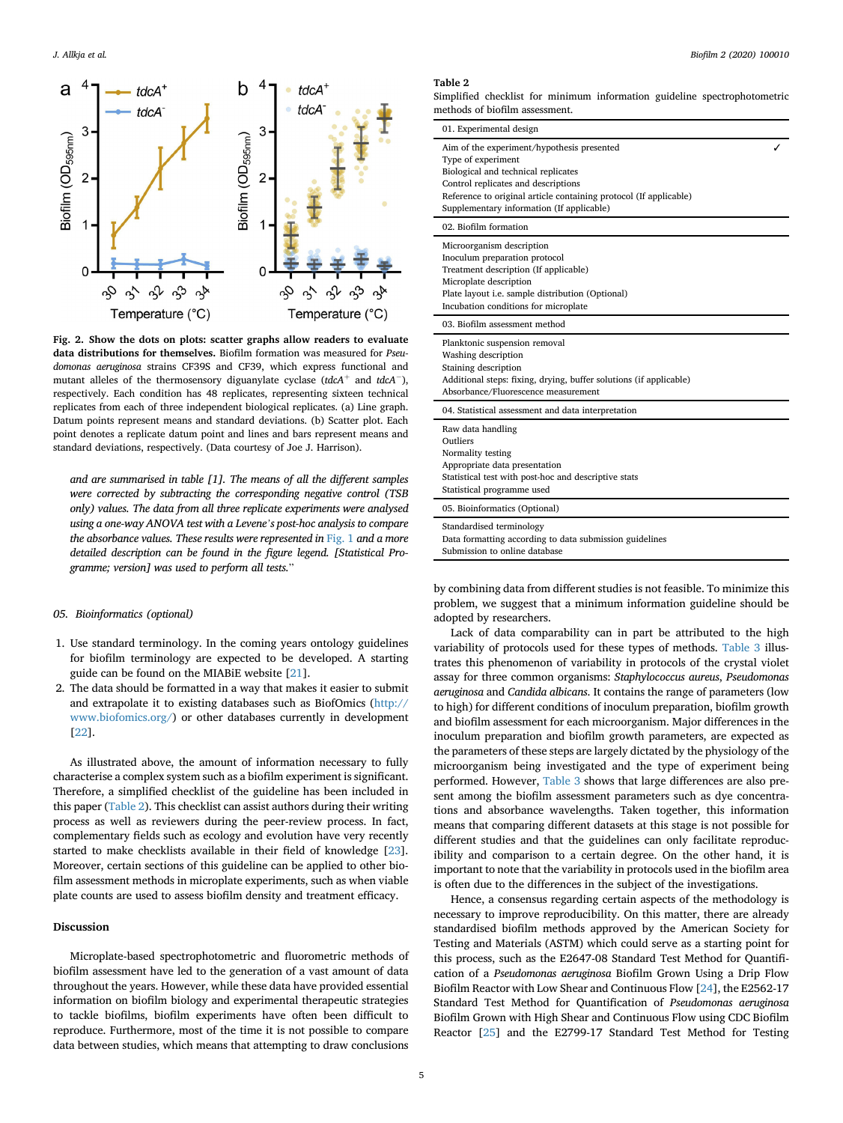<span id="page-4-0"></span>

Fig. 2. Show the dots on plots: scatter graphs allow readers to evaluate data distributions for themselves. Biofilm formation was measured for Pseudomonas aeruginosa strains CF39S and CF39, which express functional and mutant alleles of the thermosensory diguanylate cyclase (tdcA<sup>+</sup> and tdcA<sup>-</sup>), respectively. Each condition has 48 replicates, representing sixteen technical replicates from each of three independent biological replicates. (a) Line graph. Datum points represent means and standard deviations. (b) Scatter plot. Each point denotes a replicate datum point and lines and bars represent means and standard deviations, respectively. (Data courtesy of Joe J. Harrison).

and are summarised in table [1]. The means of all the different samples were corrected by subtracting the corresponding negative control (TSB only) values. The data from all three replicate experiments were analysed using a one-way ANOVA test with a Levene's post-hoc analysis to compare the absorbance values. These results were represented in [Fig. 1](#page-1-0) and a more detailed description can be found in the figure legend. [Statistical Programme; version] was used to perform all tests."

# 05. Bioinformatics (optional)

- 1. Use standard terminology. In the coming years ontology guidelines for biofilm terminology are expected to be developed. A starting guide can be found on the MIABiE website [[21\]](#page-6-0).
- 2. The data should be formatted in a way that makes it easier to submit and extrapolate it to existing databases such as BiofOmics [\(http://](http://www.biofomics.org/) [www.biofomics.org/\)](http://www.biofomics.org/) or other databases currently in development [[22\]](#page-6-0).

As illustrated above, the amount of information necessary to fully characterise a complex system such as a biofilm experiment is significant. Therefore, a simplified checklist of the guideline has been included in this paper (Table 2). This checklist can assist authors during their writing process as well as reviewers during the peer-review process. In fact, complementary fields such as ecology and evolution have very recently started to make checklists available in their field of knowledge [\[23](#page-6-0)]. Moreover, certain sections of this guideline can be applied to other biofilm assessment methods in microplate experiments, such as when viable plate counts are used to assess biofilm density and treatment efficacy.

#### Discussion

Microplate-based spectrophotometric and fluorometric methods of biofilm assessment have led to the generation of a vast amount of data throughout the years. However, while these data have provided essential information on biofilm biology and experimental therapeutic strategies to tackle biofilms, biofilm experiments have often been difficult to reproduce. Furthermore, most of the time it is not possible to compare data between studies, which means that attempting to draw conclusions

#### Table 2

Simplified checklist for minimum information guideline spectrophotometric methods of biofilm assessment.

| 01. Experimental design                                                                                                                                                                                                                                          |  |
|------------------------------------------------------------------------------------------------------------------------------------------------------------------------------------------------------------------------------------------------------------------|--|
| Aim of the experiment/hypothesis presented<br>Type of experiment<br>Biological and technical replicates<br>Control replicates and descriptions<br>Reference to original article containing protocol (If applicable)<br>Supplementary information (If applicable) |  |
| 02. Biofilm formation                                                                                                                                                                                                                                            |  |
| Microorganism description<br>Inoculum preparation protocol<br>Treatment description (If applicable)<br>Microplate description<br>Plate layout i.e. sample distribution (Optional)<br>Incubation conditions for microplate                                        |  |
| 03. Biofilm assessment method                                                                                                                                                                                                                                    |  |
| Planktonic suspension removal<br>Washing description<br>Staining description<br>Additional steps: fixing, drying, buffer solutions (if applicable)<br>Absorbance/Fluorescence measurement                                                                        |  |
| 04. Statistical assessment and data interpretation                                                                                                                                                                                                               |  |
| Raw data handling<br>Outliers<br>Normality testing<br>Appropriate data presentation<br>Statistical test with post-hoc and descriptive stats<br>Statistical programme used                                                                                        |  |
| 05. Bioinformatics (Optional)                                                                                                                                                                                                                                    |  |
| Standardised terminology<br>Data formatting according to data submission guidelines<br>Submission to online database                                                                                                                                             |  |

by combining data from different studies is not feasible. To minimize this problem, we suggest that a minimum information guideline should be adopted by researchers.

Lack of data comparability can in part be attributed to the high variability of protocols used for these types of methods. [Table 3](#page-5-0) illustrates this phenomenon of variability in protocols of the crystal violet assay for three common organisms: Staphylococcus aureus, Pseudomonas aeruginosa and Candida albicans. It contains the range of parameters (low to high) for different conditions of inoculum preparation, biofilm growth and biofilm assessment for each microorganism. Major differences in the inoculum preparation and biofilm growth parameters, are expected as the parameters of these steps are largely dictated by the physiology of the microorganism being investigated and the type of experiment being performed. However, [Table 3](#page-5-0) shows that large differences are also present among the biofilm assessment parameters such as dye concentrations and absorbance wavelengths. Taken together, this information means that comparing different datasets at this stage is not possible for different studies and that the guidelines can only facilitate reproducibility and comparison to a certain degree. On the other hand, it is important to note that the variability in protocols used in the biofilm area is often due to the differences in the subject of the investigations.

Hence, a consensus regarding certain aspects of the methodology is necessary to improve reproducibility. On this matter, there are already standardised biofilm methods approved by the American Society for Testing and Materials (ASTM) which could serve as a starting point for this process, such as the E2647-08 Standard Test Method for Quantification of a Pseudomonas aeruginosa Biofilm Grown Using a Drip Flow Biofilm Reactor with Low Shear and Continuous Flow [\[24\]](#page-6-0), the E2562-17 Standard Test Method for Quantification of Pseudomonas aeruginosa Biofilm Grown with High Shear and Continuous Flow using CDC Biofilm Reactor [\[25](#page-6-0)] and the E2799-17 Standard Test Method for Testing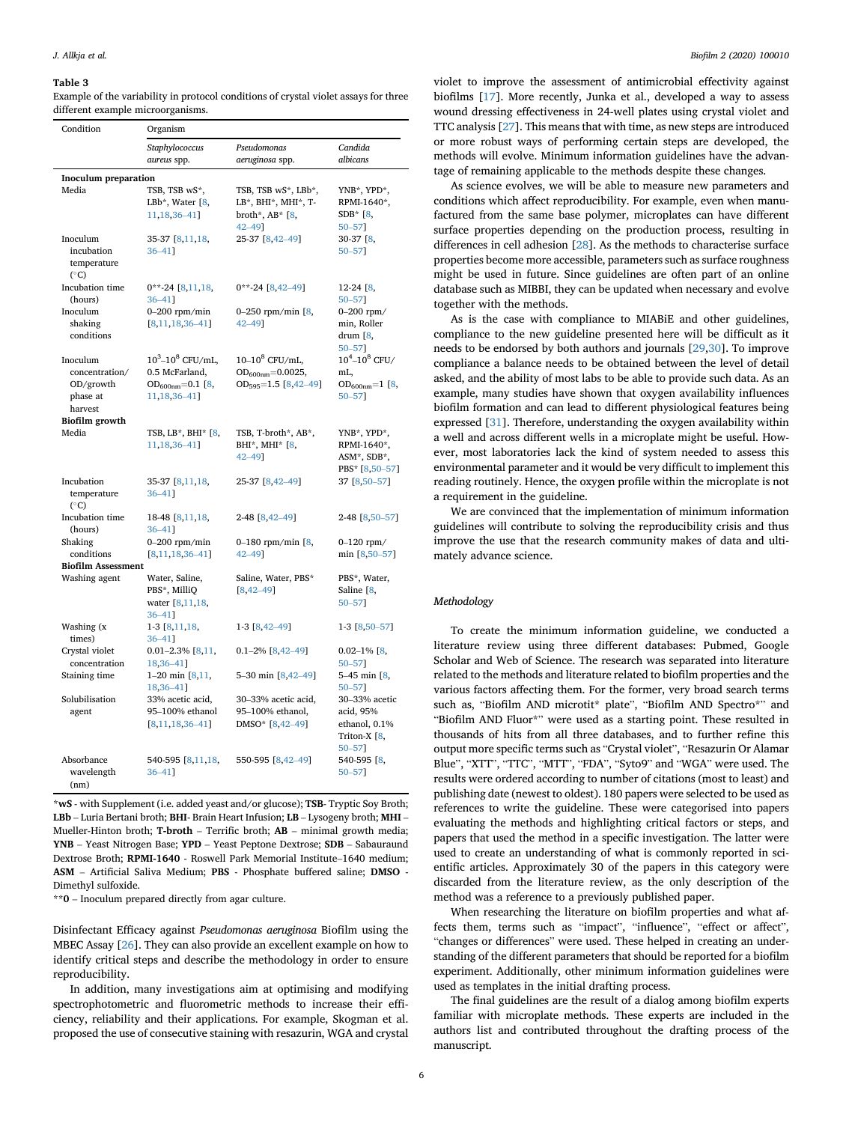#### <span id="page-5-0"></span>Table 3

Example of the variability in protocol conditions of crystal violet assays for three different example microorganisms.

| Condition                                                      | Organism                                                                                    |                                                                              |                                                                       |  |  |  |  |  |
|----------------------------------------------------------------|---------------------------------------------------------------------------------------------|------------------------------------------------------------------------------|-----------------------------------------------------------------------|--|--|--|--|--|
|                                                                | Staphylococcus<br>aureus spp.                                                               | Pseudomonas<br>aeruginosa spp.                                               | Candida<br>albicans                                                   |  |  |  |  |  |
| <b>Inoculum</b> preparation                                    |                                                                                             |                                                                              |                                                                       |  |  |  |  |  |
| Media                                                          | TSB, TSB wS*,<br>LBb*, Water $[8, 8]$<br>11, 18, 36 - 41]                                   | TSB, TSB wS*, LBb*,<br>LB*, BHI*, MHI*, T-<br>broth*, $AB*$ [8,<br>42-491    | YNB*, YPD*,<br>RPMI-1640*,<br>$SDB*$ [8,<br>50-571                    |  |  |  |  |  |
| Inoculum<br>incubation<br>temperature<br>$(^\circ C)$          | 35-37 [8,11,18,<br>$36 - 41$ ]                                                              | 25-37 [8,42-49]                                                              | 30-37 [8,<br>50-571                                                   |  |  |  |  |  |
| Incubation time<br>(hours)                                     | $0^{**}$ -24 [8,11,18,<br>$36 - 41$ ]                                                       | $0$ **-24 [8,42-49]                                                          | $12-24$ $[8,$<br>$50 - 57$ ]                                          |  |  |  |  |  |
| Inoculum<br>shaking<br>conditions                              | $0-200$ rpm/min<br>$[8,11,18,36-41]$                                                        | 0-250 rpm/min $[8, 1]$<br>42-491                                             | $0 - 200$ rpm/<br>min, Roller<br>drum $[8,$<br>50-571                 |  |  |  |  |  |
| Inoculum<br>concentration/<br>OD/growth<br>phase at<br>harvest | $10^3 - 10^8$ CFU/mL,<br>0.5 McFarland,<br>OD <sub>600nm</sub> =0.1 [8,<br>11, 18, 36 - 41] | $10-10^8$ CFU/mL,<br>$OD_{600nm} = 0.0025,$<br>$OD_{595} = 1.5 [8, 42 - 49]$ | $10^4 - 10^8$ CFU/<br>mL,<br>OD $_{600nm}$ =1 [8,<br>50-571           |  |  |  |  |  |
| Biofilm growth<br>Media                                        | TSB, LB*, BHI* [8,<br>11, 18, 36 - 41                                                       | TSB, T-broth*, AB*,<br>BHI*, MHI* [8,<br>$42 - 49$ ]                         | YNB*, YPD*,<br>RPMI-1640*,<br>ASM*, SDB*,<br>PBS* [8,50-57]           |  |  |  |  |  |
| Incubation<br>temperature<br>(°C)                              | 35-37 [8,11,18,<br>$36 - 41$ ]                                                              | 25-37 [8,42-49]                                                              | 37 [8,50-57]                                                          |  |  |  |  |  |
| Incubation time<br>(hours)                                     | 18-48 [8,11,18,<br>$36 - 41$ ]                                                              | 2-48 [8,42-49]                                                               | 2-48 [8,50-57]                                                        |  |  |  |  |  |
| Shaking<br>conditions<br><b>Biofilm Assessment</b>             | $0-200$ rpm/min<br>$[8,11,18,36-41]$                                                        | 0-180 rpm/min $[8, 1]$<br>42-491                                             | $0 - 120$ rpm/<br>min [8,50-57]                                       |  |  |  |  |  |
| Washing agent                                                  | Water, Saline,<br>PBS*, MilliQ<br>water [8,11,18,<br>$36 - 41$ ]                            | Saline, Water, PBS*<br>$[8, 42 - 49]$                                        | PBS*, Water,<br>Saline [8,<br>50-571                                  |  |  |  |  |  |
| Washing (x<br>times)                                           | 1-3 [8,11,18,<br>$36 - 41$ ]                                                                | $1-3$ $[8,42-49]$                                                            | $1-3$ [8,50-57]                                                       |  |  |  |  |  |
| Crystal violet<br>concentration                                | $0.01 - 2.3\%$ [8,11,<br>18,36-41]                                                          | $0.1 - 2\%$ [8,42-49]                                                        | $0.02 - 1\%$ [8,<br>$50 - 57$ ]                                       |  |  |  |  |  |
| Staining time                                                  | $1-20$ min $[8, 11, 1]$<br>18,36-41]                                                        | 5-30 min $[8, 42-49]$                                                        | 5-45 min $[8, 1]$<br>50-571                                           |  |  |  |  |  |
| Solubilisation<br>agent                                        | 33% acetic acid,<br>95-100% ethanol<br>$[8, 11, 18, 36 - 41]$                               | 30-33% acetic acid,<br>95-100% ethanol,<br>DMSO* [8,42-49]                   | 30-33% acetic<br>acid, 95%<br>ethanol, 0.1%<br>Triton-X [8,<br>50-571 |  |  |  |  |  |
| Absorbance<br>wavelength<br>(nm)                               | 540-595 [8,11,18,<br>$36 - 41$ ]                                                            | 550-595 [8,42-49]                                                            | 540-595 [8,<br>$50 - 57$ ]                                            |  |  |  |  |  |

\*wS - with Supplement (i.e. added yeast and/or glucose); TSB- Tryptic Soy Broth; LBb – Luria Bertani broth; BHI- Brain Heart Infusion; LB – Lysogeny broth; MHI – Mueller-Hinton broth; T-broth – Terrific broth; AB – minimal growth media; YNB – Yeast Nitrogen Base; YPD – Yeast Peptone Dextrose; SDB – Sabauraund Dextrose Broth; RPMI-1640 - Roswell Park Memorial Institute–1640 medium; ASM – Artificial Saliva Medium; PBS - Phosphate buffered saline; DMSO - Dimethyl sulfoxide.

\*\*<sup>0</sup> – Inoculum prepared directly from agar culture.

Disinfectant Efficacy against Pseudomonas aeruginosa Biofilm using the MBEC Assay [[26\]](#page-6-0). They can also provide an excellent example on how to identify critical steps and describe the methodology in order to ensure reproducibility.

In addition, many investigations aim at optimising and modifying spectrophotometric and fluorometric methods to increase their efficiency, reliability and their applications. For example, Skogman et al. proposed the use of consecutive staining with resazurin, WGA and crystal

violet to improve the assessment of antimicrobial effectivity against biofilms [[17](#page-6-0)]. More recently, Junka et al., developed a way to assess wound dressing effectiveness in 24-well plates using crystal violet and TTC analysis [\[27](#page-6-0)]. This means that with time, as new steps are introduced or more robust ways of performing certain steps are developed, the methods will evolve. Minimum information guidelines have the advantage of remaining applicable to the methods despite these changes.

As science evolves, we will be able to measure new parameters and conditions which affect reproducibility. For example, even when manufactured from the same base polymer, microplates can have different surface properties depending on the production process, resulting in differences in cell adhesion [\[28](#page-6-0)]. As the methods to characterise surface properties become more accessible, parameters such as surface roughness might be used in future. Since guidelines are often part of an online database such as MIBBI, they can be updated when necessary and evolve together with the methods.

As is the case with compliance to MIABiE and other guidelines, compliance to the new guideline presented here will be difficult as it needs to be endorsed by both authors and journals [[29](#page-6-0),[30\]](#page-6-0). To improve compliance a balance needs to be obtained between the level of detail asked, and the ability of most labs to be able to provide such data. As an example, many studies have shown that oxygen availability influences biofilm formation and can lead to different physiological features being expressed [\[31\]](#page-6-0). Therefore, understanding the oxygen availability within a well and across different wells in a microplate might be useful. However, most laboratories lack the kind of system needed to assess this environmental parameter and it would be very difficult to implement this reading routinely. Hence, the oxygen profile within the microplate is not a requirement in the guideline.

We are convinced that the implementation of minimum information guidelines will contribute to solving the reproducibility crisis and thus improve the use that the research community makes of data and ultimately advance science.

### Methodology

To create the minimum information guideline, we conducted a literature review using three different databases: Pubmed, Google Scholar and Web of Science. The research was separated into literature related to the methods and literature related to biofilm properties and the various factors affecting them. For the former, very broad search terms such as, "Biofilm AND microtit\* plate", "Biofilm AND Spectro\*" and "Biofilm AND Fluor\*" were used as a starting point. These resulted in thousands of hits from all three databases, and to further refine this output more specific terms such as "Crystal violet", "Resazurin Or Alamar Blue", "XTT", "TTC", "MTT", "FDA", "Syto9" and "WGA" were used. The results were ordered according to number of citations (most to least) and publishing date (newest to oldest). 180 papers were selected to be used as references to write the guideline. These were categorised into papers evaluating the methods and highlighting critical factors or steps, and papers that used the method in a specific investigation. The latter were used to create an understanding of what is commonly reported in scientific articles. Approximately 30 of the papers in this category were discarded from the literature review, as the only description of the method was a reference to a previously published paper.

When researching the literature on biofilm properties and what affects them, terms such as "impact", "influence", "effect or affect", "changes or differences" were used. These helped in creating an understanding of the different parameters that should be reported for a biofilm experiment. Additionally, other minimum information guidelines were used as templates in the initial drafting process.

The final guidelines are the result of a dialog among biofilm experts familiar with microplate methods. These experts are included in the authors list and contributed throughout the drafting process of the manuscript.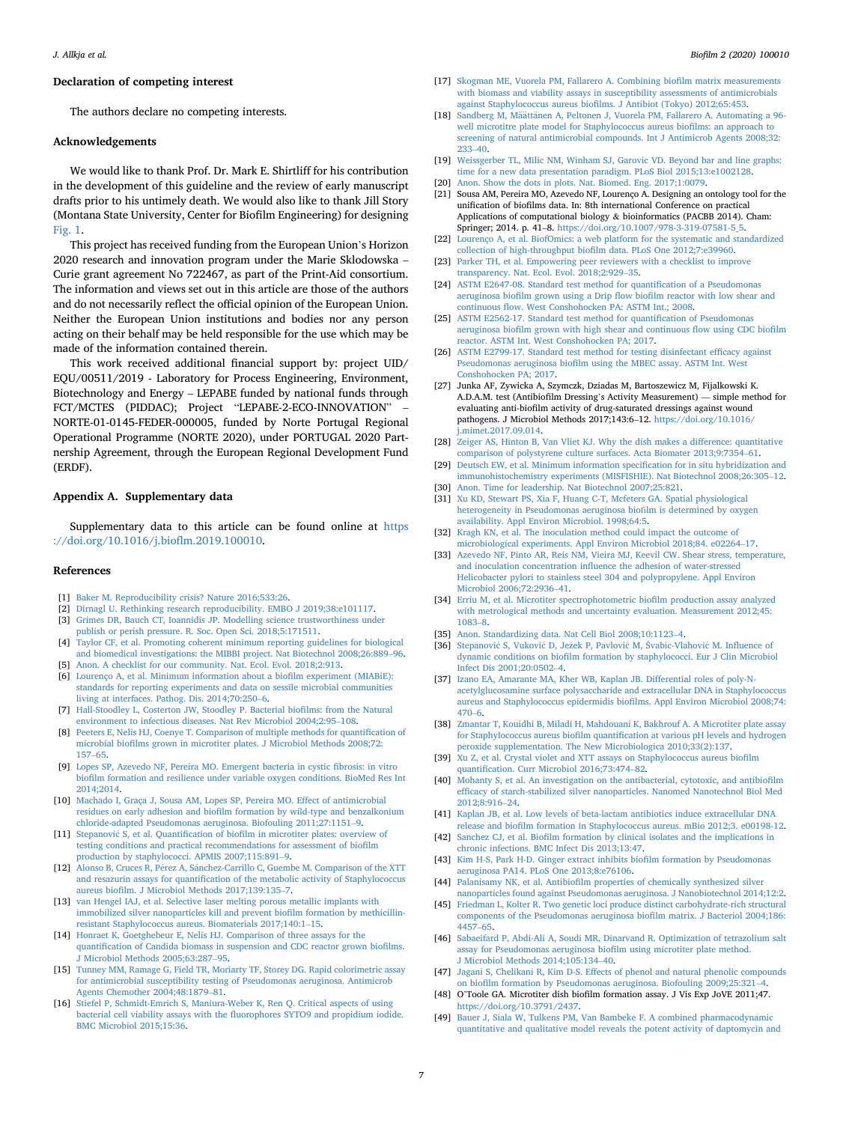# <span id="page-6-0"></span>Declaration of competing interest

The authors declare no competing interests.

# Acknowledgements

We would like to thank Prof. Dr. Mark E. Shirtliff for his contribution in the development of this guideline and the review of early manuscript drafts prior to his untimely death. We would also like to thank Jill Story (Montana State University, Center for Biofilm Engineering) for designing [Fig. 1](#page-1-0).

This project has received funding from the European Union's Horizon 2020 research and innovation program under the Marie Sklodowska – Curie grant agreement No 722467, as part of the Print-Aid consortium. The information and views set out in this article are those of the authors and do not necessarily reflect the official opinion of the European Union. Neither the European Union institutions and bodies nor any person acting on their behalf may be held responsible for the use which may be made of the information contained therein.

This work received additional financial support by: project UID/ EQU/00511/2019 - Laboratory for Process Engineering, Environment, Biotechnology and Energy – LEPABE funded by national funds through FCT/MCTES (PIDDAC); Project "LEPABE-2-ECO-INNOVATION" – NORTE-01-0145-FEDER-000005, funded by Norte Portugal Regional Operational Programme (NORTE 2020), under PORTUGAL 2020 Partnership Agreement, through the European Regional Development Fund (ERDF).

#### Appendix A. Supplementary data

Supplementary data to this article can be found online at [https](https://doi.org/10.1016/j.bioflm.2019.100010) [://doi.org/10.1016/j.bio](https://doi.org/10.1016/j.bioflm.2019.100010)flm.2019.100010.

#### References

- [1] [Baker M. Reproducibility crisis? Nature 2016;533:26](http://refhub.elsevier.com/S2590-2075(19)30010-3/sref1).
- [2] [Dirnagl U. Rethinking research reproducibility. EMBO J 2019;38:e101117.](http://refhub.elsevier.com/S2590-2075(19)30010-3/sref2)
- [3] [Grimes DR, Bauch CT, Ioannidis JP. Modelling science trustworthiness under](http://refhub.elsevier.com/S2590-2075(19)30010-3/sref3)
- [publish or perish pressure. R. Soc. Open Sci. 2018;5:171511.](http://refhub.elsevier.com/S2590-2075(19)30010-3/sref3)
- [4] [Taylor CF, et al. Promoting coherent minimum reporting guidelines for biological](http://refhub.elsevier.com/S2590-2075(19)30010-3/sref4) [and biomedical investigations: the MIBBI project. Nat Biotechnol 2008;26:889](http://refhub.elsevier.com/S2590-2075(19)30010-3/sref4)–[96.](http://refhub.elsevier.com/S2590-2075(19)30010-3/sref4)
- [5] [Anon. A checklist for our community. Nat. Ecol. Evol. 2018;2:913.](http://refhub.elsevier.com/S2590-2075(19)30010-3/sref5)
- [6] [Lourenço A, et al. Minimum information about a bio](http://refhub.elsevier.com/S2590-2075(19)30010-3/sref6)film experiment (MIABiE): [standards for reporting experiments and data on sessile microbial communities](http://refhub.elsevier.com/S2590-2075(19)30010-3/sref6) [living at interfaces. Pathog. Dis. 2014;70:250](http://refhub.elsevier.com/S2590-2075(19)30010-3/sref6)–[6.](http://refhub.elsevier.com/S2590-2075(19)30010-3/sref6)
- [7] [Hall-Stoodley L, Costerton JW, Stoodley P. Bacterial bio](http://refhub.elsevier.com/S2590-2075(19)30010-3/sref7)films: from the Natural [environment to infectious diseases. Nat Rev Microbiol 2004;2:95](http://refhub.elsevier.com/S2590-2075(19)30010-3/sref7)–[108.](http://refhub.elsevier.com/S2590-2075(19)30010-3/sref7)
- [8] [Peeters E, Nelis HJ, Coenye T. Comparison of multiple methods for quanti](http://refhub.elsevier.com/S2590-2075(19)30010-3/sref8)fication of microbial biofi[lms grown in microtiter plates. J Microbiol Methods 2008;72:](http://refhub.elsevier.com/S2590-2075(19)30010-3/sref8) [157](http://refhub.elsevier.com/S2590-2075(19)30010-3/sref8)–[65](http://refhub.elsevier.com/S2590-2075(19)30010-3/sref8).
- [9] [Lopes SP, Azevedo NF, Pereira MO. Emergent bacteria in cystic](http://refhub.elsevier.com/S2590-2075(19)30010-3/sref9) fibrosis: in vitro biofi[lm formation and resilience under variable oxygen conditions. BioMed Res Int](http://refhub.elsevier.com/S2590-2075(19)30010-3/sref9) [2014;2014](http://refhub.elsevier.com/S2590-2075(19)30010-3/sref9).
- [10] [Machado I, Graça J, Sousa AM, Lopes SP, Pereira MO. Effect of antimicrobial](http://refhub.elsevier.com/S2590-2075(19)30010-3/sref10) residues on early adhesion and biofi[lm formation by wild-type and benzalkonium](http://refhub.elsevier.com/S2590-2075(19)30010-3/sref10) [chloride-adapted Pseudomonas aeruginosa. Biofouling 2011;27:1151](http://refhub.elsevier.com/S2590-2075(19)30010-3/sref10)–[9](http://refhub.elsevier.com/S2590-2075(19)30010-3/sref10).
- [11] [Stepanovi](http://refhub.elsevier.com/S2590-2075(19)30010-3/sref11)ć S, et al. Quantification of biofi[lm in microtiter plates: overview of](http://refhub.elsevier.com/S2590-2075(19)30010-3/sref11) [testing conditions and practical recommendations for assessment of bio](http://refhub.elsevier.com/S2590-2075(19)30010-3/sref11)film [production by staphylococci. APMIS 2007;115:891](http://refhub.elsevier.com/S2590-2075(19)30010-3/sref11)–[9.](http://refhub.elsevier.com/S2590-2075(19)30010-3/sref11)
- [12] [Alonso B, Cruces R, P](http://refhub.elsevier.com/S2590-2075(19)30010-3/sref12)[erez A, S](http://refhub.elsevier.com/S2590-2075(19)30010-3/sref12)a[nchez-Carrillo C, Guembe M. Comparison of the XTT](http://refhub.elsevier.com/S2590-2075(19)30010-3/sref12) and resazurin assays for quantifi[cation of the metabolic activity of Staphylococcus](http://refhub.elsevier.com/S2590-2075(19)30010-3/sref12) aureus biofi[lm. J Microbiol Methods 2017;139:135](http://refhub.elsevier.com/S2590-2075(19)30010-3/sref12)–[7](http://refhub.elsevier.com/S2590-2075(19)30010-3/sref12).
- [13] [van Hengel IAJ, et al. Selective laser melting porous metallic implants with](http://refhub.elsevier.com/S2590-2075(19)30010-3/sref13) [immobilized silver nanoparticles kill and prevent bio](http://refhub.elsevier.com/S2590-2075(19)30010-3/sref13)film formation by methicillin[resistant Staphylococcus aureus. Biomaterials 2017;140:1](http://refhub.elsevier.com/S2590-2075(19)30010-3/sref13)–[15.](http://refhub.elsevier.com/S2590-2075(19)30010-3/sref13)
- [14] [Honraet K, Goetghebeur E, Nelis HJ. Comparison of three assays for the](http://refhub.elsevier.com/S2590-2075(19)30010-3/sref14) quantifi[cation of Candida biomass in suspension and CDC reactor grown bio](http://refhub.elsevier.com/S2590-2075(19)30010-3/sref14)films. [J Microbiol Methods 2005;63:287](http://refhub.elsevier.com/S2590-2075(19)30010-3/sref14)–[95.](http://refhub.elsevier.com/S2590-2075(19)30010-3/sref14)
- [15] [Tunney MM, Ramage G, Field TR, Moriarty TF, Storey DG. Rapid colorimetric assay](http://refhub.elsevier.com/S2590-2075(19)30010-3/sref15) [for antimicrobial susceptibility testing of Pseudomonas aeruginosa. Antimicrob](http://refhub.elsevier.com/S2590-2075(19)30010-3/sref15) [Agents Chemother 2004;48:1879](http://refhub.elsevier.com/S2590-2075(19)30010-3/sref15)–[81.](http://refhub.elsevier.com/S2590-2075(19)30010-3/sref15)
- [16] [Stiefel P, Schmidt-Emrich S, Maniura-Weber K, Ren Q. Critical aspects of using](http://refhub.elsevier.com/S2590-2075(19)30010-3/sref16) bacterial cell viability assays with the fl[uorophores SYTO9 and propidium iodide.](http://refhub.elsevier.com/S2590-2075(19)30010-3/sref16) [BMC Microbiol 2015;15:36](http://refhub.elsevier.com/S2590-2075(19)30010-3/sref16).
- [17] [Skogman ME, Vuorela PM, Fallarero A. Combining bio](http://refhub.elsevier.com/S2590-2075(19)30010-3/sref17)film matrix measurements [with biomass and viability assays in susceptibility assessments of antimicrobials](http://refhub.elsevier.com/S2590-2075(19)30010-3/sref17) against Staphylococcus aureus biofi[lms. J Antibiot \(Tokyo\) 2012;65:453](http://refhub.elsevier.com/S2590-2075(19)30010-3/sref17).
- [18] [Sandberg M, M](http://refhub.elsevier.com/S2590-2075(19)30010-3/sref18)ää[tt](http://refhub.elsevier.com/S2590-2075(19)30010-3/sref18)änen A, Peltonen J, Vuorela PM, Fallarero A. Automating a 96[well microtitre plate model for Staphylococcus aureus bio](http://refhub.elsevier.com/S2590-2075(19)30010-3/sref18)films: an approach to [screening of natural antimicrobial compounds. Int J Antimicrob Agents 2008;32:](http://refhub.elsevier.com/S2590-2075(19)30010-3/sref18) [233](http://refhub.elsevier.com/S2590-2075(19)30010-3/sref18)–[40](http://refhub.elsevier.com/S2590-2075(19)30010-3/sref18).
- [19] [Weissgerber TL, Milic NM, Winham SJ, Garovic VD. Beyond bar and line graphs:](http://refhub.elsevier.com/S2590-2075(19)30010-3/sref19) [time for a new data presentation paradigm. PLoS Biol 2015;13:e1002128.](http://refhub.elsevier.com/S2590-2075(19)30010-3/sref19)
- [20] [Anon. Show the dots in plots. Nat. Biomed. Eng. 2017;1:0079](http://refhub.elsevier.com/S2590-2075(19)30010-3/sref20). [21] Sousa AM, Pereira MO, Azevedo NF, Lourenço A. Designing an ontology tool for the unification of biofilms data. In: 8th international Conference on practical Applications of computational biology & bioinformatics (PACBB 2014). Cham: Springer; 2014. p. 41–8. [https://doi.org/10.1007/978-3-319-07581-5\\_5.](https://doi.org/10.1007/978-3-319-07581-5_5)
- [22] [Lourenço A, et al. BiofOmics: a web platform for the systematic and standardized](http://refhub.elsevier.com/S2590-2075(19)30010-3/sref22) collection of high-throughput biofi[lm data. PLoS One 2012;7:e39960](http://refhub.elsevier.com/S2590-2075(19)30010-3/sref22).
- [23] [Parker TH, et al. Empowering peer reviewers with a checklist to improve](http://refhub.elsevier.com/S2590-2075(19)30010-3/sref23) [transparency. Nat. Ecol. Evol. 2018;2:929](http://refhub.elsevier.com/S2590-2075(19)30010-3/sref23)–[35](http://refhub.elsevier.com/S2590-2075(19)30010-3/sref23).
- [24] [ASTM E2647-08. Standard test method for quanti](http://refhub.elsevier.com/S2590-2075(19)30010-3/sref24)fication of a Pseudomonas aeruginosa biofilm grown using a Drip flow biofi[lm reactor with low shear and](http://refhub.elsevier.com/S2590-2075(19)30010-3/sref24) continuous fl[ow. West Conshohocken PA: ASTM Int.; 2008](http://refhub.elsevier.com/S2590-2075(19)30010-3/sref24).
- [25] [ASTM E2562-17. Standard test method for quanti](http://refhub.elsevier.com/S2590-2075(19)30010-3/sref25)fication of Pseudomonas aeruginosa biofi[lm grown with high shear and continuous](http://refhub.elsevier.com/S2590-2075(19)30010-3/sref25) flow using CDC biofilm [reactor. ASTM Int. West Conshohocken PA; 2017](http://refhub.elsevier.com/S2590-2075(19)30010-3/sref25).
- [26] [ASTM E2799-17. Standard test method for testing disinfectant ef](http://refhub.elsevier.com/S2590-2075(19)30010-3/sref26)ficacy against Pseudomonas aeruginosa biofi[lm using the MBEC assay. ASTM Int. West](http://refhub.elsevier.com/S2590-2075(19)30010-3/sref26) [Conshohocken PA; 2017](http://refhub.elsevier.com/S2590-2075(19)30010-3/sref26).
- [27] Junka AF, Zywicka A, Szymczk, Dziadas M, Bartoszewicz M, Fijalkowski K. A.D.A.M. test (Antibiofilm Dressing's Activity Measurement) — simple method for evaluating anti-biofilm activity of drug-saturated dressings against wound pathogens. J Microbiol Methods 2017;143:6–12. [https://doi.org/10.1016/](https://doi.org/10.1016/j.mimet.2017.09.014) [j.mimet.2017.09.014](https://doi.org/10.1016/j.mimet.2017.09.014).
- [28] [Zeiger AS, Hinton B, Van Vliet KJ. Why the dish makes a difference: quantitative](http://refhub.elsevier.com/S2590-2075(19)30010-3/sref28) [comparison of polystyrene culture surfaces. Acta Biomater 2013;9:7354](http://refhub.elsevier.com/S2590-2075(19)30010-3/sref28)–[61](http://refhub.elsevier.com/S2590-2075(19)30010-3/sref28).
- [29] [Deutsch EW, et al. Minimum information speci](http://refhub.elsevier.com/S2590-2075(19)30010-3/sref29)fication for in situ hybridization and [immunohistochemistry experiments \(MISFISHIE\). Nat Biotechnol 2008;26:305](http://refhub.elsevier.com/S2590-2075(19)30010-3/sref29)–[12.](http://refhub.elsevier.com/S2590-2075(19)30010-3/sref29) [30] [Anon. Time for leadership. Nat Biotechnol 2007;25:821.](http://refhub.elsevier.com/S2590-2075(19)30010-3/sref30)
- [31] [Xu KD, Stewart PS, Xia F, Huang C-T, Mcfeters GA. Spatial physiological](http://refhub.elsevier.com/S2590-2075(19)30010-3/sref31) [heterogeneity in Pseudomonas aeruginosa bio](http://refhub.elsevier.com/S2590-2075(19)30010-3/sref31)fi[lm is determined by oxygen](http://refhub.elsevier.com/S2590-2075(19)30010-3/sref31) [availability. Appl Environ Microbiol. 1998;64:5](http://refhub.elsevier.com/S2590-2075(19)30010-3/sref31).
- [32] [Kragh KN, et al. The inoculation method could impact the outcome of](http://refhub.elsevier.com/S2590-2075(19)30010-3/sref32) [microbiological experiments. Appl Environ Microbiol 2018;84. e02264](http://refhub.elsevier.com/S2590-2075(19)30010-3/sref32)–[17.](http://refhub.elsevier.com/S2590-2075(19)30010-3/sref32)
- [33] [Azevedo NF, Pinto AR, Reis NM, Vieira MJ, Keevil CW. Shear stress, temperature,](http://refhub.elsevier.com/S2590-2075(19)30010-3/sref33) and inoculation concentration infl[uence the adhesion of water-stressed](http://refhub.elsevier.com/S2590-2075(19)30010-3/sref33) [Helicobacter pylori to stainless steel 304 and polypropylene. Appl Environ](http://refhub.elsevier.com/S2590-2075(19)30010-3/sref33) [Microbiol 2006;72:2936](http://refhub.elsevier.com/S2590-2075(19)30010-3/sref33)–[41](http://refhub.elsevier.com/S2590-2075(19)30010-3/sref33).
- [34] [Erriu M, et al. Microtiter spectrophotometric bio](http://refhub.elsevier.com/S2590-2075(19)30010-3/sref34)film production assay analyzed [with metrological methods and uncertainty evaluation. Measurement 2012;45:](http://refhub.elsevier.com/S2590-2075(19)30010-3/sref34) [1083](http://refhub.elsevier.com/S2590-2075(19)30010-3/sref34)–[8](http://refhub.elsevier.com/S2590-2075(19)30010-3/sref34).
- [35] [Anon. Standardizing data. Nat Cell Biol 2008;10:1123](http://refhub.elsevier.com/S2590-2075(19)30010-3/sref35)–[4.](http://refhub.elsevier.com/S2590-2075(19)30010-3/sref35)
- [36] [Stepanovi](http://refhub.elsevier.com/S2590-2075(19)30010-3/sref36)ć [S, Vukovi](http://refhub.elsevier.com/S2590-2075(19)30010-3/sref36)ć [D, Je](http://refhub.elsevier.com/S2590-2075(19)30010-3/sref36)žek P, Pavlović [M,](http://refhub.elsevier.com/S2590-2075(19)30010-3/sref36) Š[vabic-Vlahovi](http://refhub.elsevier.com/S2590-2075(19)30010-3/sref36)ć M. Infl[uence of](http://refhub.elsevier.com/S2590-2075(19)30010-3/sref36) dynamic conditions on biofi[lm formation by staphylococci. Eur J Clin Microbiol](http://refhub.elsevier.com/S2590-2075(19)30010-3/sref36) [Infect Dis 2001;20:0502](http://refhub.elsevier.com/S2590-2075(19)30010-3/sref36)–[4](http://refhub.elsevier.com/S2590-2075(19)30010-3/sref36).
- [37] [Izano EA, Amarante MA, Kher WB, Kaplan JB. Differential roles of poly-N](http://refhub.elsevier.com/S2590-2075(19)30010-3/sref37)[acetylglucosamine surface polysaccharide and extracellular DNA in Staphylococcus](http://refhub.elsevier.com/S2590-2075(19)30010-3/sref37) [aureus and Staphylococcus epidermidis bio](http://refhub.elsevier.com/S2590-2075(19)30010-3/sref37)films. Appl Environ Microbiol 2008;74: [470](http://refhub.elsevier.com/S2590-2075(19)30010-3/sref37)–[6.](http://refhub.elsevier.com/S2590-2075(19)30010-3/sref37)
- [38] [Zmantar T, Kouidhi B, Miladi H, Mahdouani K, Bakhrouf A. A Microtiter plate assay](http://refhub.elsevier.com/S2590-2075(19)30010-3/sref38) for Staphylococcus aureus biofilm quantifi[cation at various pH levels and hydrogen](http://refhub.elsevier.com/S2590-2075(19)30010-3/sref38) [peroxide supplementation. The New Microbiologica 2010;33\(2\):137.](http://refhub.elsevier.com/S2590-2075(19)30010-3/sref38)
- [39] [Xu Z, et al. Crystal violet and XTT assays on Staphylococcus aureus bio](http://refhub.elsevier.com/S2590-2075(19)30010-3/sref39)film quantifi[cation. Curr Microbiol 2016;73:474](http://refhub.elsevier.com/S2590-2075(19)30010-3/sref39)–[82.](http://refhub.elsevier.com/S2590-2075(19)30010-3/sref39)
- [40] [Mohanty S, et al. An investigation on the antibacterial, cytotoxic, and antibio](http://refhub.elsevier.com/S2590-2075(19)30010-3/sref40)film effi[cacy of starch-stabilized silver nanoparticles. Nanomed Nanotechnol Biol Med](http://refhub.elsevier.com/S2590-2075(19)30010-3/sref40) [2012;8:916](http://refhub.elsevier.com/S2590-2075(19)30010-3/sref40)–[24.](http://refhub.elsevier.com/S2590-2075(19)30010-3/sref40)
- [41] [Kaplan JB, et al. Low levels of beta-lactam antibiotics induce extracellular DNA](http://refhub.elsevier.com/S2590-2075(19)30010-3/sref41) release and biofi[lm formation in Staphylococcus aureus. mBio 2012;3. e00198-12.](http://refhub.elsevier.com/S2590-2075(19)30010-3/sref41)
- [42] Sanchez CJ, et al. Biofi[lm formation by clinical isolates and the implications in](http://refhub.elsevier.com/S2590-2075(19)30010-3/sref42) [chronic infections. BMC Infect Dis 2013;13:47.](http://refhub.elsevier.com/S2590-2075(19)30010-3/sref42)
- [43] [Kim H-S, Park H-D. Ginger extract inhibits bio](http://refhub.elsevier.com/S2590-2075(19)30010-3/sref43)film formation by Pseudomonas [aeruginosa PA14. PLoS One 2013;8:e76106](http://refhub.elsevier.com/S2590-2075(19)30010-3/sref43).
- [44] Palanisamy NK, et al. Antibiofi[lm properties of chemically synthesized silver](http://refhub.elsevier.com/S2590-2075(19)30010-3/sref44) [nanoparticles found against Pseudomonas aeruginosa. J Nanobiotechnol 2014;12:2.](http://refhub.elsevier.com/S2590-2075(19)30010-3/sref44)
- [45] [Friedman L, Kolter R. Two genetic loci produce distinct carbohydrate-rich structural](http://refhub.elsevier.com/S2590-2075(19)30010-3/sref45) [components of the Pseudomonas aeruginosa bio](http://refhub.elsevier.com/S2590-2075(19)30010-3/sref45)film matrix. J Bacteriol 2004;186: [4457](http://refhub.elsevier.com/S2590-2075(19)30010-3/sref45)–[65.](http://refhub.elsevier.com/S2590-2075(19)30010-3/sref45)
- [46] [Sabaeifard P, Abdi-Ali A, Soudi MR, Dinarvand R. Optimization of tetrazolium salt](http://refhub.elsevier.com/S2590-2075(19)30010-3/sref46) [assay for Pseudomonas aeruginosa bio](http://refhub.elsevier.com/S2590-2075(19)30010-3/sref46)film using microtiter plate method. [J Microbiol Methods 2014;105:134](http://refhub.elsevier.com/S2590-2075(19)30010-3/sref46)–[40](http://refhub.elsevier.com/S2590-2075(19)30010-3/sref46).
- [47] [Jagani S, Chelikani R, Kim D-S. Effects of phenol and natural phenolic compounds](http://refhub.elsevier.com/S2590-2075(19)30010-3/sref47) on biofi[lm formation by Pseudomonas aeruginosa. Biofouling 2009;25:321](http://refhub.elsevier.com/S2590-2075(19)30010-3/sref47)–[4](http://refhub.elsevier.com/S2590-2075(19)30010-3/sref47).
- [48] O'Toole GA. Microtiter dish biofilm formation assay. J Vis Exp JoVE 2011;47. [https://doi.org/10.3791/2437.](https://doi.org/10.3791/2437)
- [49] [Bauer J, Siala W, Tulkens PM, Van Bambeke F. A combined pharmacodynamic](http://refhub.elsevier.com/S2590-2075(19)30010-3/sref49) [quantitative and qualitative model reveals the potent activity of daptomycin and](http://refhub.elsevier.com/S2590-2075(19)30010-3/sref49)